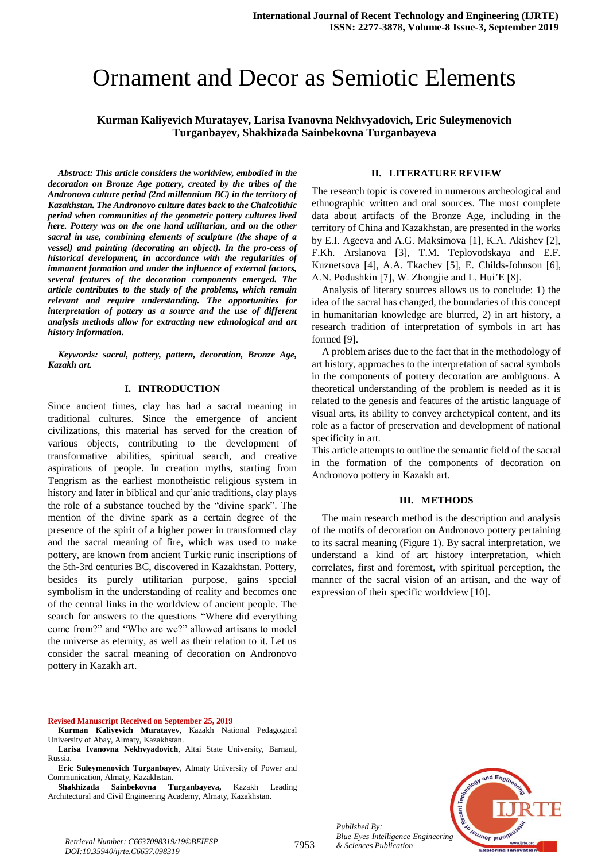# Ornament and Decor as Semiotic Elements

# **Kurman Kaliyevich Muratayev, Larisa Ivanovna Nekhvyadovich, Eric Suleymenovich Turganbayev, Shakhizada Sainbekovna Turganbayeva**

*Abstract: This article considers the worldview, embodied in the decoration on Bronze Age pottery, created by the tribes of the Andronovo culture period (2nd millennium BC) in the territory of Kazakhstan. The Andronovo culture dates back to the Chalcolithic period when communities of the geometric pottery cultures lived here. Pottery was on the one hand utilitarian, and on the other sacral in use, combining elements of sculpture (the shape of a vessel) and painting (decorating an object). In the pro-cess of historical development, in accordance with the regularities of immanent formation and under the influence of external factors, several features of the decoration components emerged. The article contributes to the study of the problems, which remain relevant and require understanding. The opportunities for interpretation of pottery as a source and the use of different analysis methods allow for extracting new ethnological and art history information.*

*Keywords: sacral, pottery, pattern, decoration, Bronze Age, Kazakh art.* 

#### **I. INTRODUCTION**

Since ancient times, clay has had a sacral meaning in traditional cultures. Since the emergence of ancient civilizations, this material has served for the creation of various objects, contributing to the development of transformative abilities, spiritual search, and creative aspirations of people. In creation myths, starting from Tengrism as the earliest monotheistic religious system in history and later in biblical and qur'anic traditions, clay plays the role of a substance touched by the "divine spark". The mention of the divine spark as a certain degree of the presence of the spirit of a higher power in transformed clay and the sacral meaning of fire, which was used to make pottery, are known from ancient Turkic runic inscriptions of the 5th-3rd centuries BC, discovered in Kazakhstan. Pottery, besides its purely utilitarian purpose, gains special symbolism in the understanding of reality and becomes one of the central links in the worldview of ancient people. The search for answers to the questions "Where did everything come from?" and "Who are we?" allowed artisans to model the universe as eternity, as well as their relation to it. Let us consider the sacral meaning of decoration on Andronovo pottery in Kazakh art.

#### **Revised Manuscript Received on September 25, 2019**

- **Kurman Kaliyevich Muratayev,** Kazakh National Pedagogical University of Abay, Almaty, Kazakhstan.
- **Larisa Ivanovna Nekhvyadovich**, Altai State University, Barnaul, Russia.
- **Eric Suleymenovich Turganbayev**, Almaty University of Power and Communication, Almaty, Kazakhstan.

**Shakhizada Sainbekovna Turganbayeva,** Kazakh Leading Architectural and Civil Engineering Academy, Almaty, Kazakhstan.

#### **II. LITERATURE REVIEW**

The research topic is covered in numerous archeological and ethnographic written and oral sources. The most complete data about artifacts of the Bronze Age, including in the territory of China and Kazakhstan, are presented in the works by E.I. Ageeva and A.G. Maksimova [1], K.A. Akishev [2], F.Kh. Arslanova [3], T.M. Teplovodskaya and E.F. Kuznetsova [4], A.A. Tkachev [5], E. Childs-Johnson [6], A.N. Podushkin [7], W. Zhongjie and L. Hui'E [8].

Analysis of literary sources allows us to conclude: 1) the idea of the sacral has changed, the boundaries of this concept in humanitarian knowledge are blurred, 2) in art history, a research tradition of interpretation of symbols in art has formed [9].

A problem arises due to the fact that in the methodology of art history, approaches to the interpretation of sacral symbols in the components of pottery decoration are ambiguous. A theoretical understanding of the problem is needed as it is related to the genesis and features of the artistic language of visual arts, its ability to convey archetypical content, and its role as a factor of preservation and development of national specificity in art.

This article attempts to outline the semantic field of the sacral in the formation of the components of decoration on Andronovo pottery in Kazakh art.

#### **III. METHODS**

The main research method is the description and analysis of the motifs of decoration on Andronovo pottery pertaining to its sacral meaning (Figure 1). By sacral interpretation, we understand a kind of art history interpretation, which correlates, first and foremost, with spiritual perception, the manner of the sacral vision of an artisan, and the way of expression of their specific worldview [10].



*Published By: Blue Eyes Intelligence Engineering* 

7953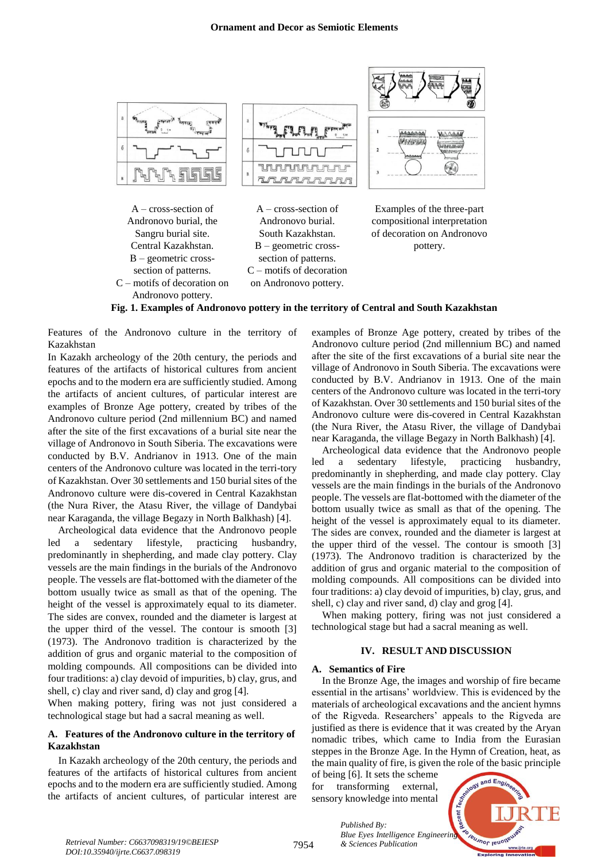

A – cross-section of Andronovo burial, the Sangru burial site. Central Kazakhstan. B – geometric crosssection of patterns. C – motifs of decoration on Andronovo pottery.

A – cross-section of Andronovo burial. South Kazakhstan. B – geometric crosssection of patterns. C – motifs of decoration on Andronovo pottery.

Examples of the three-part

compositional interpretation of decoration on Andronovo pottery.

## **Fig. 1. Examples of Andronovo pottery in the territory of Central and South Kazakhstan**

Features of the Andronovo culture in the territory of Kazakhstan

In Kazakh archeology of the 20th century, the periods and features of the artifacts of historical cultures from ancient epochs and to the modern era are sufficiently studied. Among the artifacts of ancient cultures, of particular interest are examples of Bronze Age pottery, created by tribes of the Andronovo culture period (2nd millennium BC) and named after the site of the first excavations of a burial site near the village of Andronovo in South Siberia. The excavations were conducted by B.V. Andrianov in 1913. One of the main centers of the Andronovo culture was located in the terri-tory of Kazakhstan. Over 30 settlements and 150 burial sites of the Andronovo culture were dis-covered in Central Kazakhstan (the Nura River, the Atasu River, the village of Dandybai near Karaganda, the village Begazy in North Balkhash) [4].

Archeological data evidence that the Andronovo people led a sedentary lifestyle, practicing husbandry, predominantly in shepherding, and made clay pottery. Clay vessels are the main findings in the burials of the Andronovo people. The vessels are flat-bottomed with the diameter of the bottom usually twice as small as that of the opening. The height of the vessel is approximately equal to its diameter. The sides are convex, rounded and the diameter is largest at the upper third of the vessel. The contour is smooth [3] (1973). The Andronovo tradition is characterized by the addition of grus and organic material to the composition of molding compounds. All compositions can be divided into four traditions: a) clay devoid of impurities, b) clay, grus, and shell, c) clay and river sand, d) clay and grog [4].

When making pottery, firing was not just considered a technological stage but had a sacral meaning as well.

### **A. Features of the Andronovo culture in the territory of Kazakhstan**

In Kazakh archeology of the 20th century, the periods and features of the artifacts of historical cultures from ancient epochs and to the modern era are sufficiently studied. Among the artifacts of ancient cultures, of particular interest are examples of Bronze Age pottery, created by tribes of the Andronovo culture period (2nd millennium BC) and named after the site of the first excavations of a burial site near the village of Andronovo in South Siberia. The excavations were conducted by B.V. Andrianov in 1913. One of the main centers of the Andronovo culture was located in the terri-tory of Kazakhstan. Over 30 settlements and 150 burial sites of the Andronovo culture were dis-covered in Central Kazakhstan (the Nura River, the Atasu River, the village of Dandybai near Karaganda, the village Begazy in North Balkhash) [4].

Archeological data evidence that the Andronovo people led a sedentary lifestyle, practicing husbandry, predominantly in shepherding, and made clay pottery. Clay vessels are the main findings in the burials of the Andronovo people. The vessels are flat-bottomed with the diameter of the bottom usually twice as small as that of the opening. The height of the vessel is approximately equal to its diameter. The sides are convex, rounded and the diameter is largest at the upper third of the vessel. The contour is smooth [3] (1973). The Andronovo tradition is characterized by the addition of grus and organic material to the composition of molding compounds. All compositions can be divided into four traditions: a) clay devoid of impurities, b) clay, grus, and shell, c) clay and river sand, d) clay and grog [4].

When making pottery, firing was not just considered a technological stage but had a sacral meaning as well.

#### **IV. RESULT AND DISCUSSION**

#### **A. Semantics of Fire**

In the Bronze Age, the images and worship of fire became essential in the artisans' worldview. This is evidenced by the materials of archeological excavations and the ancient hymns of the Rigveda. Researchers' appeals to the Rigveda are justified as there is evidence that it was created by the Aryan nomadic tribes, which came to India from the Eurasian steppes in the Bronze Age. In the Hymn of Creation, heat, as the main quality of fire, is given the role of the basic principle

of being [6]. It sets the scheme for transforming external, sensory knowledge into mental

*Published By:*

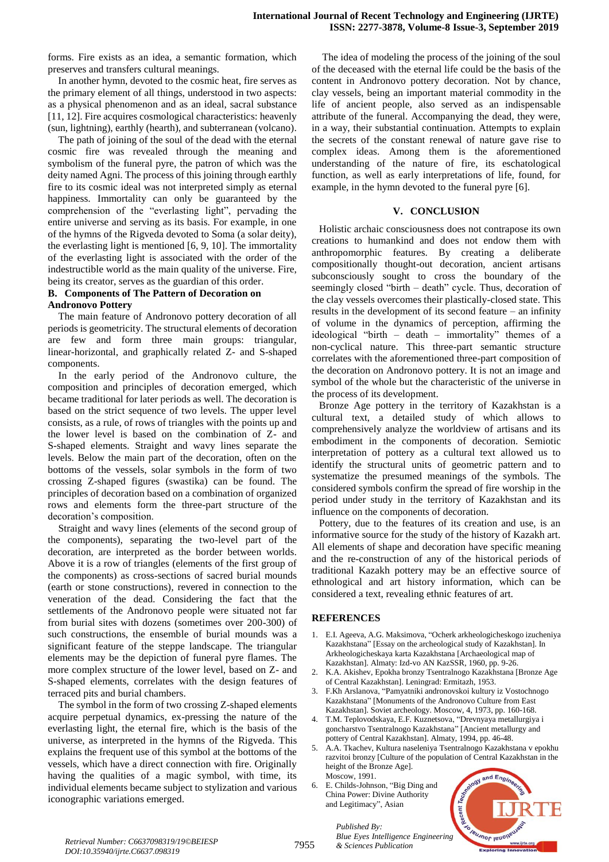forms. Fire exists as an idea, a semantic formation, which preserves and transfers cultural meanings.

In another hymn, devoted to the cosmic heat, fire serves as the primary element of all things, understood in two aspects: as a physical phenomenon and as an ideal, sacral substance [11, 12]. Fire acquires cosmological characteristics: heavenly (sun, lightning), earthly (hearth), and subterranean (volcano).

The path of joining of the soul of the dead with the eternal cosmic fire was revealed through the meaning and symbolism of the funeral pyre, the patron of which was the deity named Agni. The process of this joining through earthly fire to its cosmic ideal was not interpreted simply as eternal happiness. Immortality can only be guaranteed by the comprehension of the "everlasting light", pervading the entire universe and serving as its basis. For example, in one of the hymns of the Rigveda devoted to Soma (a solar deity), the everlasting light is mentioned [6, 9, 10]. The immortality of the everlasting light is associated with the order of the indestructible world as the main quality of the universe. Fire, being its creator, serves as the guardian of this order.

#### **B. Components of The Pattern of Decoration on**

#### **Andronovo Pottery**

The main feature of Andronovo pottery decoration of all periods is geometricity. The structural elements of decoration are few and form three main groups: triangular, linear-horizontal, and graphically related Z- and S-shaped components.

In the early period of the Andronovo culture, the composition and principles of decoration emerged, which became traditional for later periods as well. The decoration is based on the strict sequence of two levels. The upper level consists, as a rule, of rows of triangles with the points up and the lower level is based on the combination of Z- and S-shaped elements. Straight and wavy lines separate the levels. Below the main part of the decoration, often on the bottoms of the vessels, solar symbols in the form of two crossing Z-shaped figures (swastika) can be found. The principles of decoration based on a combination of organized rows and elements form the three-part structure of the decoration's composition.

Straight and wavy lines (elements of the second group of the components), separating the two-level part of the decoration, are interpreted as the border between worlds. Above it is a row of triangles (elements of the first group of the components) as cross-sections of sacred burial mounds (earth or stone constructions), revered in connection to the veneration of the dead. Considering the fact that the settlements of the Andronovo people were situated not far from burial sites with dozens (sometimes over 200-300) of such constructions, the ensemble of burial mounds was a significant feature of the steppe landscape. The triangular elements may be the depiction of funeral pyre flames. The more complex structure of the lower level, based on Z- and S-shaped elements, correlates with the design features of terraced pits and burial chambers.

The symbol in the form of two crossing Z-shaped elements acquire perpetual dynamics, ex-pressing the nature of the everlasting light, the eternal fire, which is the basis of the universe, as interpreted in the hymns of the Rigveda. This explains the frequent use of this symbol at the bottoms of the vessels, which have a direct connection with fire. Originally having the qualities of a magic symbol, with time, its individual elements became subject to stylization and various iconographic variations emerged.

The idea of modeling the process of the joining of the soul of the deceased with the eternal life could be the basis of the content in Andronovo pottery decoration. Not by chance, clay vessels, being an important material commodity in the life of ancient people, also served as an indispensable attribute of the funeral. Accompanying the dead, they were, in a way, their substantial continuation. Attempts to explain the secrets of the constant renewal of nature gave rise to complex ideas. Among them is the aforementioned understanding of the nature of fire, its eschatological function, as well as early interpretations of life, found, for example, in the hymn devoted to the funeral pyre [6].

#### **V. CONCLUSION**

Holistic archaic consciousness does not contrapose its own creations to humankind and does not endow them with anthropomorphic features. By creating a deliberate compositionally thought-out decoration, ancient artisans subconsciously sought to cross the boundary of the seemingly closed "birth – death" cycle. Thus, decoration of the clay vessels overcomes their plastically-closed state. This results in the development of its second feature – an infinity of volume in the dynamics of perception, affirming the ideological "birth – death – immortality" themes of a non-cyclical nature. This three-part semantic structure correlates with the aforementioned three-part composition of the decoration on Andronovo pottery. It is not an image and symbol of the whole but the characteristic of the universe in the process of its development.

Bronze Age pottery in the territory of Kazakhstan is a cultural text, a detailed study of which allows to comprehensively analyze the worldview of artisans and its embodiment in the components of decoration. Semiotic interpretation of pottery as a cultural text allowed us to identify the structural units of geometric pattern and to systematize the presumed meanings of the symbols. The considered symbols confirm the spread of fire worship in the period under study in the territory of Kazakhstan and its influence on the components of decoration.

Pottery, due to the features of its creation and use, is an informative source for the study of the history of Kazakh art. All elements of shape and decoration have specific meaning and the re-construction of any of the historical periods of traditional Kazakh pottery may be an effective source of ethnological and art history information, which can be considered a text, revealing ethnic features of art*.*

#### **REFERENCES**

- 1. E.I. Ageeva, A.G. Maksimova, "Ocherk arkheologicheskogo izucheniya Kazakhstana" [Essay on the archeological study of Kazakhstan]. In Arkheologicheskaya karta Kazakhstana [Archaeological map of Kazakhstan]. Almaty: Izd-vo AN KazSSR, 1960, pp. 9-26.
- 2. K.A. Akishev, Epokha bronzy Tsentralnogo Kazakhstana [Bronze Age of Central Kazakhstan]. Leningrad: Ermitazh, 1953.
- 3. F.Kh Arslanova, "Pamyatniki andronovskoi kultury iz Vostochnogo Kazakhstana" [Monuments of the Andronovo Culture from East Kazakhstan]. Soviet archeology. Moscow, 4, 1973, pp. 160-168.
- 4. T.M. Teplovodskaya, E.F. Kuznetsova, "Drevnyaya metallurgiya i goncharstvo Tsentralnogo Kazakhstana" [Ancient metallurgy and pottery of Central Kazakhstan]. Almaty, 1994, pp. 46-48.
- 5. A.A. Tkachev, Kultura naseleniya Tsentralnogo Kazakhstana v epokhu razvitoi bronzy [Culture of the population of Central Kazakhstan in the height of the Bronze Age]. Moscow, 1991.
- 6. E. Childs-Johnson, "Big Ding and China Power: Divine Authority and Legitimacy", Asian



*Published By: Blue Eyes Intelligence Engineering*